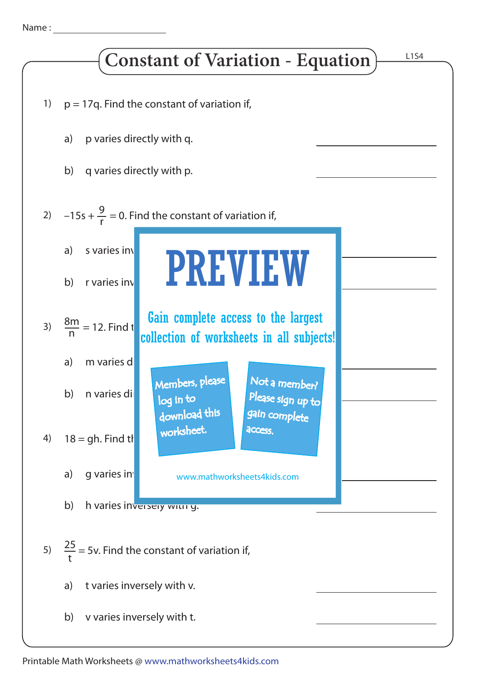